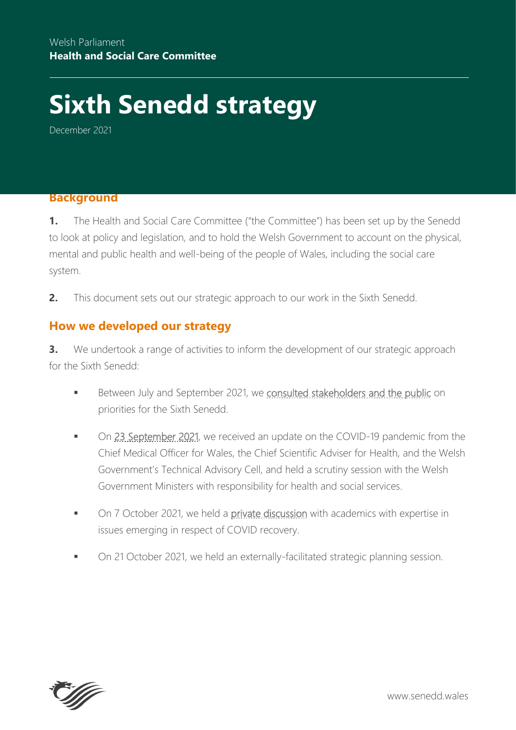# **Sixth Senedd strategy**

December 2021

#### **Background**

**1.** The Health and Social Care Committee ("the Committee") has been set up by the Senedd to look at policy and legislation, and to hold the Welsh Government to account on the physical, mental and public health and well-being of the people of Wales, including the social care system.

**2.** This document sets out our strategic approach to our work in the Sixth Senedd.

#### **How we developed our strategy**

**3.** We undertook a range of activities to inform the development of our strategic approach for the Sixth Senedd:

- Between July and September 2021, we [consulted stakeholders and the public](https://business.senedd.wales/mgIssueHistoryHome.aspx?IId=37759) on priorities for the Sixth Senedd.
- On [23 September 2021,](https://business.senedd.wales/ieListDocuments.aspx?CId=737&MId=12423&Ver=4) we received an update on the COVID-19 pandemic from the Chief Medical Officer for Wales, the Chief Scientific Adviser for Health, and the Welsh Government's Technical Advisory Cell, and held a scrutiny session with the Welsh Government Ministers with responsibility for health and social services.
- On 7 October 2021, we held a [private discussion](https://business.senedd.wales/documents/s119993/COVID-19%20recovery%20academics%20Note%20of%20issues%20discussed.pdf) with academics with expertise in issues emerging in respect of COVID recovery.
- On 21 October 2021, we held an externally-facilitated strategic planning session.

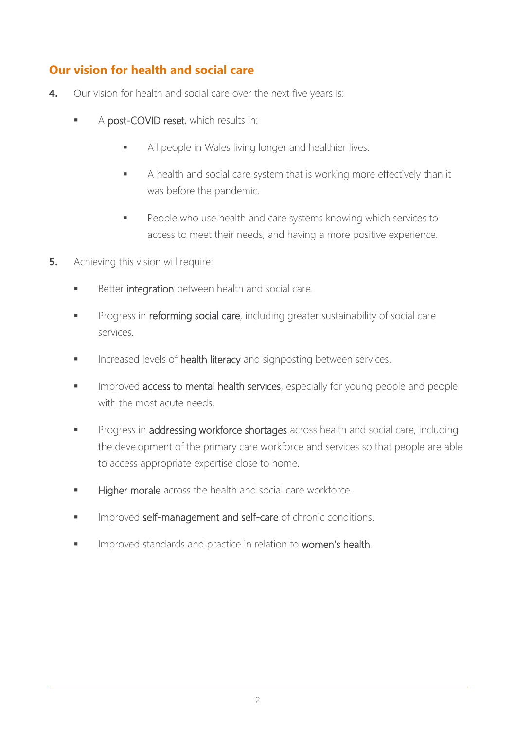## **Our vision for health and social care**

- **4.** Our vision for health and social care over the next five years is:
	- A post-COVID reset, which results in:
		- All people in Wales living longer and healthier lives.
		- A health and social care system that is working more effectively than it was before the pandemic.
		- People who use health and care systems knowing which services to access to meet their needs, and having a more positive experience.
- **5.** Achieving this vision will require:
	- Better integration between health and social care.
	- **Progress in reforming social care**, including greater sustainability of social care services.
	- Increased levels of health literacy and signposting between services.
	- Improved access to mental health services, especially for young people and people with the most acute needs.
	- **Progress in addressing workforce shortages** across health and social care, including the development of the primary care workforce and services so that people are able to access appropriate expertise close to home.
	- Higher morale across the health and social care workforce.
	- **IMPROVED self-management and self-care of chronic conditions.**
	- Improved standards and practice in relation to women's health.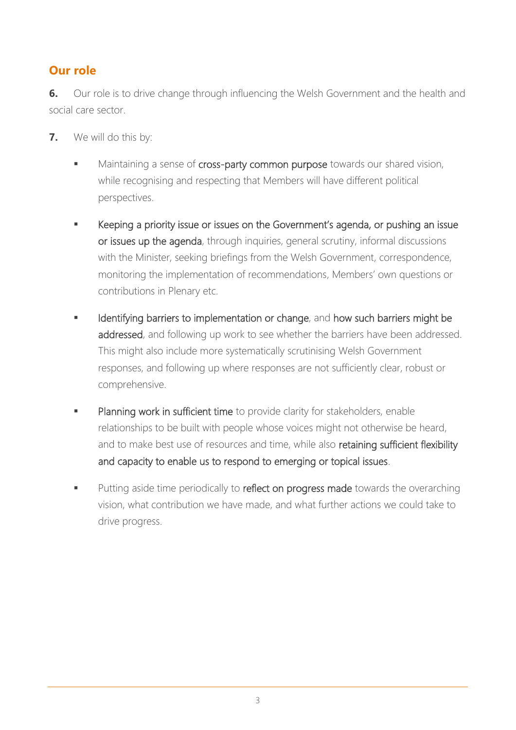## **Our role**

**6.** Our role is to drive change through influencing the Welsh Government and the health and social care sector.

- **7.** We will do this by:
	- Maintaining a sense of cross-party common purpose towards our shared vision, while recognising and respecting that Members will have different political perspectives.
	- Keeping a priority issue or issues on the Government's agenda, or pushing an issue or issues up the agenda, through inquiries, general scrutiny, informal discussions with the Minister, seeking briefings from the Welsh Government, correspondence, monitoring the implementation of recommendations, Members' own questions or contributions in Plenary etc.
	- Identifying barriers to implementation or change, and how such barriers might be addressed, and following up work to see whether the barriers have been addressed. This might also include more systematically scrutinising Welsh Government responses, and following up where responses are not sufficiently clear, robust or comprehensive.
	- Planning work in sufficient time to provide clarity for stakeholders, enable relationships to be built with people whose voices might not otherwise be heard, and to make best use of resources and time, while also retaining sufficient flexibility and capacity to enable us to respond to emerging or topical issues.
	- Putting aside time periodically to reflect on progress made towards the overarching vision, what contribution we have made, and what further actions we could take to drive progress.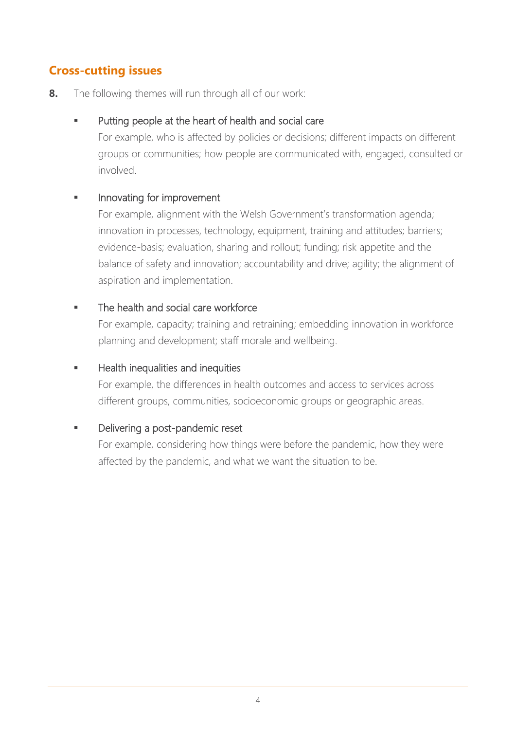## **Cross-cutting issues**

**8.** The following themes will run through all of our work:

#### Putting people at the heart of health and social care

For example, who is affected by policies or decisions; different impacts on different groups or communities; how people are communicated with, engaged, consulted or involved.

#### Innovating for improvement

For example, alignment with the Welsh Government's transformation agenda; innovation in processes, technology, equipment, training and attitudes; barriers; evidence-basis; evaluation, sharing and rollout; funding; risk appetite and the balance of safety and innovation; accountability and drive; agility; the alignment of aspiration and implementation.

#### The health and social care workforce

For example, capacity; training and retraining; embedding innovation in workforce planning and development; staff morale and wellbeing.

#### Health inequalities and inequities

For example, the differences in health outcomes and access to services across different groups, communities, socioeconomic groups or geographic areas.

### Delivering a post-pandemic reset

For example, considering how things were before the pandemic, how they were affected by the pandemic, and what we want the situation to be.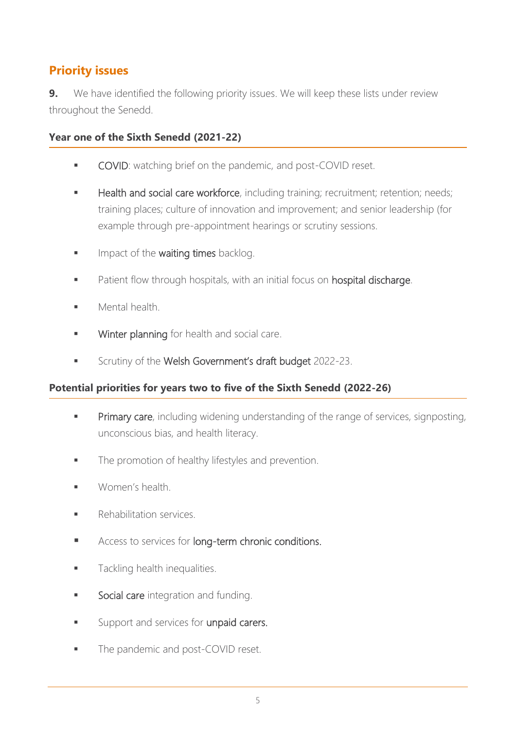## **Priority issues**

**9.** We have identified the following priority issues. We will keep these lists under review throughout the Senedd.

**Year one of the Sixth Senedd (2021-22)**

- COVID: watching brief on the pandemic, and post-COVID reset.
- Health and social care workforce, including training; recruitment; retention; needs; training places; culture of innovation and improvement; and senior leadership (for example through pre-appointment hearings or scrutiny sessions.
- Impact of the waiting times backlog.
- Patient flow through hospitals, with an initial focus on hospital discharge.
- Mental health.
- Winter planning for health and social care.
- Scrutiny of the Welsh Government's draft budget 2022-23.

#### **Potential priorities for years two to five of the Sixth Senedd (2022-26)**

- **Primary care**, including widening understanding of the range of services, signposting, unconscious bias, and health literacy.
- The promotion of healthy lifestyles and prevention.
- Women's health
- **Rehabilitation services.**
- Access to services for long-term chronic conditions.
- **Tackling health inequalities.**
- Social care integration and funding.
- Support and services for unpaid carers.
- The pandemic and post-COVID reset.